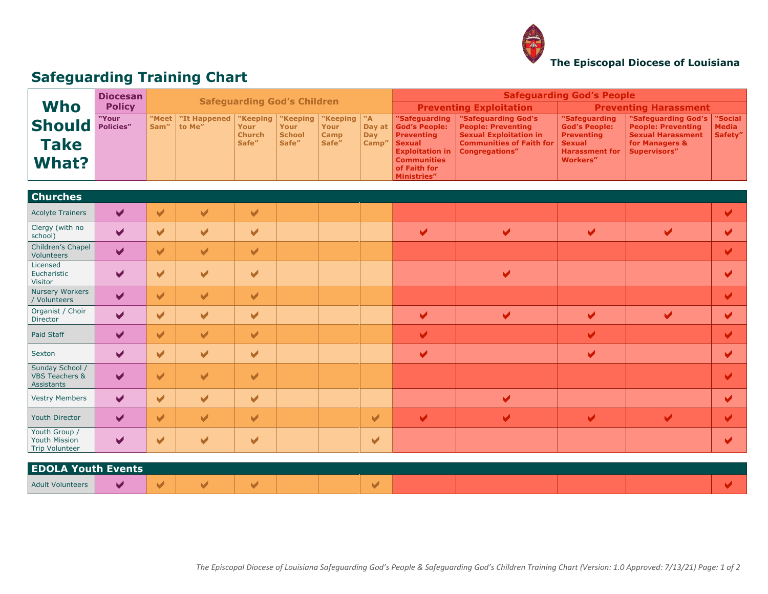

## **Safeguarding Training Chart**

|                                                                   | <b>Diocesan</b><br><b>Policy</b> | <b>Safeguarding God's Children</b> |                        |                                            |                                            |                                          |                                      | <b>Safeguarding God's People</b>                                                                                                                                  |                                                                                                                                               |                                                                                                                         |                                                                                                                       |                                    |  |
|-------------------------------------------------------------------|----------------------------------|------------------------------------|------------------------|--------------------------------------------|--------------------------------------------|------------------------------------------|--------------------------------------|-------------------------------------------------------------------------------------------------------------------------------------------------------------------|-----------------------------------------------------------------------------------------------------------------------------------------------|-------------------------------------------------------------------------------------------------------------------------|-----------------------------------------------------------------------------------------------------------------------|------------------------------------|--|
| <b>Who</b>                                                        |                                  |                                    |                        |                                            |                                            |                                          |                                      |                                                                                                                                                                   | <b>Preventing Exploitation</b>                                                                                                                | <b>Preventing Harassment</b>                                                                                            |                                                                                                                       |                                    |  |
| <b>Should</b><br><b>Take</b><br><b>What?</b>                      | "Your<br><b>Policies"</b>        | "Meet<br>Sam"                      | "It Happened<br>to Me" | "Keeping<br>Your<br><b>Church</b><br>Safe" | "Keeping<br>Your<br><b>School</b><br>Safe" | "Keeping<br>Your<br><b>Camp</b><br>Safe" | "A"<br>Day at<br><b>Day</b><br>Camp" | "Safeguarding<br><b>God's People:</b><br><b>Preventing</b><br><b>Sexual</b><br><b>Exploitation in</b><br><b>Communities</b><br>of Faith for<br><b>Ministries"</b> | "Safeguarding God's<br><b>People: Preventing</b><br><b>Sexual Exploitation in</b><br><b>Communities of Faith for</b><br><b>Congregations"</b> | "Safeguarding<br><b>God's People:</b><br><b>Preventing</b><br><b>Sexual</b><br><b>Harassment for</b><br><b>Workers"</b> | "Safeguarding God's<br><b>People: Preventing</b><br><b>Sexual Harassment</b><br>for Managers &<br><b>Supervisors"</b> | "Social<br><b>Media</b><br>Safety" |  |
| <b>Churches</b>                                                   |                                  |                                    |                        |                                            |                                            |                                          |                                      |                                                                                                                                                                   |                                                                                                                                               |                                                                                                                         |                                                                                                                       |                                    |  |
| <b>Acolyte Trainers</b>                                           | $\blacktriangledown$             | ✔                                  | $\blacktriangledown$   | V                                          |                                            |                                          |                                      |                                                                                                                                                                   |                                                                                                                                               |                                                                                                                         |                                                                                                                       |                                    |  |
| Clergy (with no<br>school)                                        | $\blacktriangledown$             | ✔                                  | $\blacktriangledown$   | ✔                                          |                                            |                                          |                                      | ✔                                                                                                                                                                 | $\blacktriangledown$                                                                                                                          | $\blacktriangledown$                                                                                                    | $\blacktriangledown$                                                                                                  | ✔                                  |  |
| Children's Chapel<br>Volunteers                                   | ✔                                | ✔                                  | ✔                      | ✔                                          |                                            |                                          |                                      |                                                                                                                                                                   |                                                                                                                                               |                                                                                                                         |                                                                                                                       | ✔                                  |  |
| Licensed<br>Eucharistic<br>Visitor                                | ✔                                | ✔                                  | ✔                      | ✔                                          |                                            |                                          |                                      |                                                                                                                                                                   | $\blacktriangledown$                                                                                                                          |                                                                                                                         |                                                                                                                       | ✔                                  |  |
| <b>Nursery Workers</b><br>/ Volunteers                            | $\blacktriangledown$             | $\blacktriangleright$              | $\blacktriangledown$   | V                                          |                                            |                                          |                                      |                                                                                                                                                                   |                                                                                                                                               |                                                                                                                         |                                                                                                                       |                                    |  |
| Organist / Choir<br>Director                                      | $\blacktriangledown$             | ✔                                  | ✔                      | $\blacktriangleright$                      |                                            |                                          |                                      | ✔                                                                                                                                                                 | $\blacktriangleright$                                                                                                                         | ✔                                                                                                                       | ✔                                                                                                                     | ✔                                  |  |
| <b>Paid Staff</b>                                                 | ✔                                | V                                  | ✔                      | ✔                                          |                                            |                                          |                                      | ✔                                                                                                                                                                 |                                                                                                                                               | ✔                                                                                                                       |                                                                                                                       | ✔                                  |  |
| Sexton                                                            | $\blacktriangledown$             | ✔                                  | ✔                      | ✔                                          |                                            |                                          |                                      | ✔                                                                                                                                                                 |                                                                                                                                               | ✔                                                                                                                       |                                                                                                                       | ✔                                  |  |
| Sunday School /<br><b>VBS Teachers &amp;</b><br><b>Assistants</b> | $\blacktriangledown$             | ✔                                  | ✔                      | ✔                                          |                                            |                                          |                                      |                                                                                                                                                                   |                                                                                                                                               |                                                                                                                         |                                                                                                                       |                                    |  |
| <b>Vestry Members</b>                                             | $\blacktriangledown$             | ✔                                  | ✔                      | ✔                                          |                                            |                                          |                                      |                                                                                                                                                                   | ✔                                                                                                                                             |                                                                                                                         |                                                                                                                       | ✔                                  |  |
| Youth Director                                                    | ✔                                | ✔                                  | ✔                      | ✔                                          |                                            |                                          | ✔                                    | ✔                                                                                                                                                                 | ✔                                                                                                                                             | ✔                                                                                                                       | ✔                                                                                                                     |                                    |  |
| Youth Group /<br>Youth Mission<br><b>Trip Volunteer</b>           | ✔                                | ✔                                  | ✔                      | ✔                                          |                                            |                                          | ✔                                    |                                                                                                                                                                   |                                                                                                                                               |                                                                                                                         |                                                                                                                       |                                    |  |
| <b>EDOLA Vouth Events</b>                                         |                                  |                                    |                        |                                            |                                            |                                          |                                      |                                                                                                                                                                   |                                                                                                                                               |                                                                                                                         |                                                                                                                       |                                    |  |

| <b>EDOLA Youth Events</b> |  |                |  |  |  |  |  |  |  |  |  |  |
|---------------------------|--|----------------|--|--|--|--|--|--|--|--|--|--|
| <b>Adult Volunteers</b>   |  | <b>College</b> |  |  |  |  |  |  |  |  |  |  |